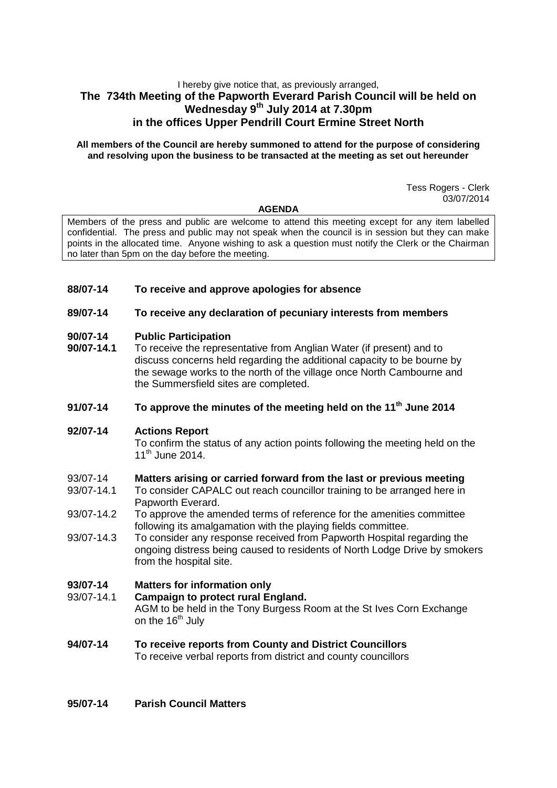## I hereby give notice that, as previously arranged, **The 734th Meeting of the Papworth Everard Parish Council will be held on Wednesday 9 th July 2014 at 7.30pm in the offices Upper Pendrill Court Ermine Street North**

#### **All members of the Council are hereby summoned to attend for the purpose of considering and resolving upon the business to be transacted at the meeting as set out hereunder**

Tess Rogers - Clerk 03/07/2014

#### **AGENDA**

Members of the press and public are welcome to attend this meeting except for any item labelled confidential. The press and public may not speak when the council is in session but they can make points in the allocated time. Anyone wishing to ask a question must notify the Clerk or the Chairman no later than 5pm on the day before the meeting.

### **88/07-14 To receive and approve apologies for absence**

### **89/07-14 To receive any declaration of pecuniary interests from members**

### **90/07-14 Public Participation**

**90/07-14.1** To receive the representative from Anglian Water (if present) and to discuss concerns held regarding the additional capacity to be bourne by the sewage works to the north of the village once North Cambourne and the Summersfield sites are completed.

## **91/07-14 To approve the minutes of the meeting held on the 11th June 2014**

### **92/07-14 Actions Report**

To confirm the status of any action points following the meeting held on the 11<sup>th</sup> June 2014.

# 93/07-14 **Matters arising or carried forward from the last or previous meeting**

- To consider CAPALC out reach councillor training to be arranged here in Papworth Everard.
- 93/07-14.2 To approve the amended terms of reference for the amenities committee following its amalgamation with the playing fields committee.
- 93/07-14.3 To consider any response received from Papworth Hospital regarding the ongoing distress being caused to residents of North Lodge Drive by smokers from the hospital site.

## **93/07-14 Matters for information only**

- 93/07-14.1 **Campaign to protect rural England.**  AGM to be held in the Tony Burgess Room at the St Ives Corn Exchange on the  $16<sup>th</sup>$  July
- **94/07-14 To receive reports from County and District Councillors** To receive verbal reports from district and county councillors
- **95/07-14 Parish Council Matters**